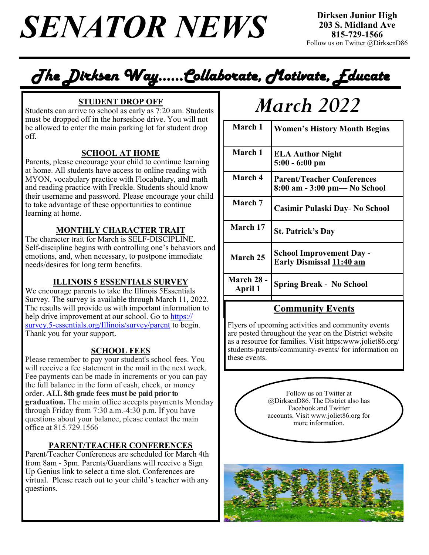$SENATOR NEWS$  **birksen sumper Apple**  $SENATOR NEWS$ 

## *The Dirksen Way…...Collaborate, Motivate, Educate*

Students can arrive to school as early as 7:20 am. Students must be dropped off in the horseshoe drive. You will not be allowed to enter the main parking lot for student drop off.

### **SCHOOL AT HOME**

Parents, please encourage your child to continue learning at home. All students have access to online reading with MYON, vocabulary practice with Flocabulary, and math and reading practice with Freckle. Students should know their username and password. Please encourage your child to take advantage of these opportunities to continue learning at home.

### **MONTHLY CHARACTER TRAIT**

The character trait for March is SELF-DISCIPLINE. Self-discipline begins with controlling one's behaviors and emotions, and, when necessary, to postpone immediate needs/desires for long term benefits.

### **ILLINOIS 5 ESSENTIALS SURVEY**

We encourage parents to take the Illinois 5Essentials Survey. The survey is available through March 11, 2022. The results will provide us with important information to help drive improvement at our school. Go to https:// survey.5-essentials.org/Illinois/survey/parent to begin. Thank you for your support.

### **SCHOOL FEES**

Please remember to pay your student's school fees. You will receive a fee statement in the mail in the next week. Fee payments can be made in increments or you can pay the full balance in the form of cash, check, or money order. **ALL 8th grade fees must be paid prior to graduation.** The main office accepts payments Monday through Friday from 7:30 a.m.-4:30 p.m. If you have questions about your balance, please contact the main office at 815.729.1566

### **PARENT/TEACHER CONFERENCES**

Parent/Teacher Conferences are scheduled for March 4th from 8am - 3pm. Parents/Guardians will receive a Sign Up Genius link to select a time slot. Conferences are virtual. Please reach out to your child's teacher with any questions.

# $\frac{\text{STUDENT DROP OFF}}{\text{Area to school as early as } 7:20 \text{ am. Students}}$  **March** 2022

| March 1                      | <b>Women's History Month Begins</b>                               |
|------------------------------|-------------------------------------------------------------------|
| March 1                      | <b>ELA Author Night</b><br>$5:00 - 6:00$ pm                       |
| March 4                      | <b>Parent/Teacher Conferences</b><br>8:00 am - 3:00 pm— No School |
| March 7                      | Casimir Pulaski Day- No School                                    |
| March 17                     | <b>St. Patrick's Day</b>                                          |
| March 25                     | <b>School Improvement Day -</b><br>Early Dismissal 11:40 am       |
| <b>March 28 -</b><br>April 1 | <b>Spring Break - No School</b>                                   |

### **Community Events**

Flyers of upcoming activities and community events are posted throughout the year on the District website as a resource for families. Visit https:www.joliet86.org/ students-parents/community-events/ for information on these events.

> Follow us on Twitter at @DirksenD86. The District also has Facebook and Twitter accounts. Visit www.joliet86.org for more information.